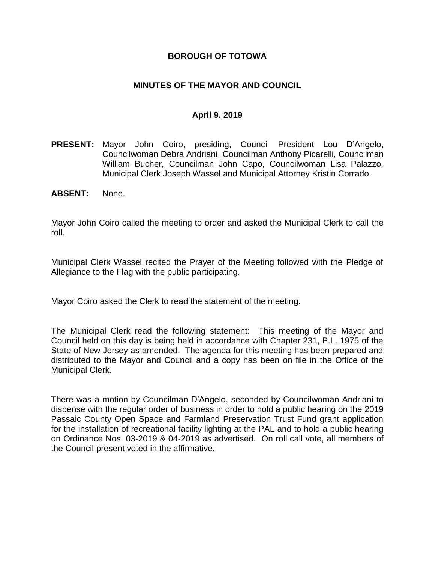## **BOROUGH OF TOTOWA**

## **MINUTES OF THE MAYOR AND COUNCIL**

## **April 9, 2019**

- **PRESENT:** Mayor John Coiro, presiding, Council President Lou D'Angelo, Councilwoman Debra Andriani, Councilman Anthony Picarelli, Councilman William Bucher, Councilman John Capo, Councilwoman Lisa Palazzo, Municipal Clerk Joseph Wassel and Municipal Attorney Kristin Corrado.
- **ABSENT:** None.

Mayor John Coiro called the meeting to order and asked the Municipal Clerk to call the roll.

Municipal Clerk Wassel recited the Prayer of the Meeting followed with the Pledge of Allegiance to the Flag with the public participating.

Mayor Coiro asked the Clerk to read the statement of the meeting.

The Municipal Clerk read the following statement: This meeting of the Mayor and Council held on this day is being held in accordance with Chapter 231, P.L. 1975 of the State of New Jersey as amended. The agenda for this meeting has been prepared and distributed to the Mayor and Council and a copy has been on file in the Office of the Municipal Clerk.

There was a motion by Councilman D'Angelo, seconded by Councilwoman Andriani to dispense with the regular order of business in order to hold a public hearing on the 2019 Passaic County Open Space and Farmland Preservation Trust Fund grant application for the installation of recreational facility lighting at the PAL and to hold a public hearing on Ordinance Nos. 03-2019 & 04-2019 as advertised. On roll call vote, all members of the Council present voted in the affirmative.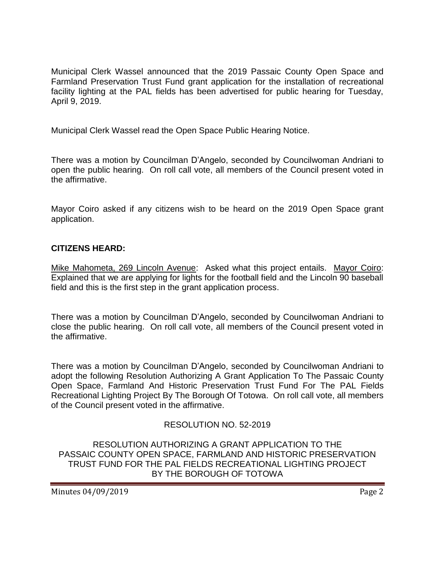Municipal Clerk Wassel announced that the 2019 Passaic County Open Space and Farmland Preservation Trust Fund grant application for the installation of recreational facility lighting at the PAL fields has been advertised for public hearing for Tuesday, April 9, 2019.

Municipal Clerk Wassel read the Open Space Public Hearing Notice.

There was a motion by Councilman D'Angelo, seconded by Councilwoman Andriani to open the public hearing. On roll call vote, all members of the Council present voted in the affirmative.

Mayor Coiro asked if any citizens wish to be heard on the 2019 Open Space grant application.

## **CITIZENS HEARD:**

Mike Mahometa, 269 Lincoln Avenue: Asked what this project entails. Mayor Coiro: Explained that we are applying for lights for the football field and the Lincoln 90 baseball field and this is the first step in the grant application process.

There was a motion by Councilman D'Angelo, seconded by Councilwoman Andriani to close the public hearing. On roll call vote, all members of the Council present voted in the affirmative.

There was a motion by Councilman D'Angelo, seconded by Councilwoman Andriani to adopt the following Resolution Authorizing A Grant Application To The Passaic County Open Space, Farmland And Historic Preservation Trust Fund For The PAL Fields Recreational Lighting Project By The Borough Of Totowa. On roll call vote, all members of the Council present voted in the affirmative.

#### RESOLUTION NO. 52-2019

RESOLUTION AUTHORIZING A GRANT APPLICATION TO THE PASSAIC COUNTY OPEN SPACE, FARMLAND AND HISTORIC PRESERVATION TRUST FUND FOR THE PAL FIELDS RECREATIONAL LIGHTING PROJECT BY THE BOROUGH OF TOTOWA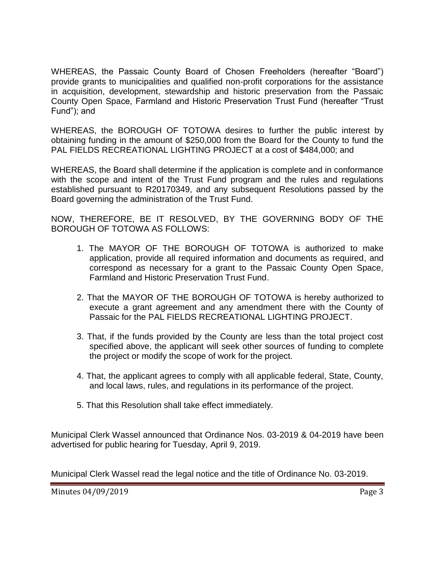WHEREAS, the Passaic County Board of Chosen Freeholders (hereafter "Board") provide grants to municipalities and qualified non-profit corporations for the assistance in acquisition, development, stewardship and historic preservation from the Passaic County Open Space, Farmland and Historic Preservation Trust Fund (hereafter "Trust Fund"); and

WHEREAS, the BOROUGH OF TOTOWA desires to further the public interest by obtaining funding in the amount of \$250,000 from the Board for the County to fund the PAL FIELDS RECREATIONAL LIGHTING PROJECT at a cost of \$484,000; and

WHEREAS, the Board shall determine if the application is complete and in conformance with the scope and intent of the Trust Fund program and the rules and regulations established pursuant to R20170349, and any subsequent Resolutions passed by the Board governing the administration of the Trust Fund.

NOW, THEREFORE, BE IT RESOLVED, BY THE GOVERNING BODY OF THE BOROUGH OF TOTOWA AS FOLLOWS:

- 1. The MAYOR OF THE BOROUGH OF TOTOWA is authorized to make application, provide all required information and documents as required, and correspond as necessary for a grant to the Passaic County Open Space, Farmland and Historic Preservation Trust Fund.
- 2. That the MAYOR OF THE BOROUGH OF TOTOWA is hereby authorized to execute a grant agreement and any amendment there with the County of Passaic for the PAL FIELDS RECREATIONAL LIGHTING PROJECT.
- 3. That, if the funds provided by the County are less than the total project cost specified above, the applicant will seek other sources of funding to complete the project or modify the scope of work for the project.
- 4. That, the applicant agrees to comply with all applicable federal, State, County, and local laws, rules, and regulations in its performance of the project.
- 5. That this Resolution shall take effect immediately.

Municipal Clerk Wassel announced that Ordinance Nos. 03-2019 & 04-2019 have been advertised for public hearing for Tuesday, April 9, 2019.

Municipal Clerk Wassel read the legal notice and the title of Ordinance No. 03-2019.

Minutes 04/09/2019 **Page 3**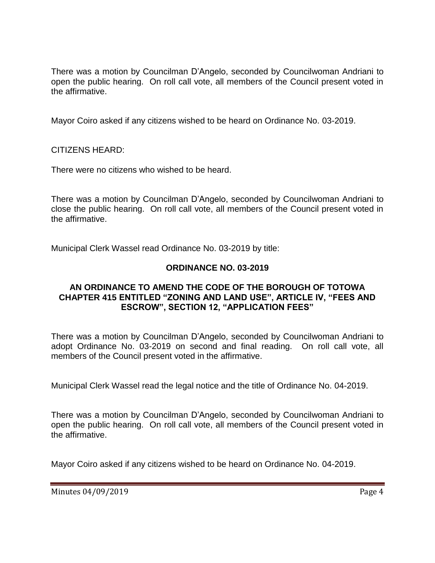There was a motion by Councilman D'Angelo, seconded by Councilwoman Andriani to open the public hearing. On roll call vote, all members of the Council present voted in the affirmative.

Mayor Coiro asked if any citizens wished to be heard on Ordinance No. 03-2019.

CITIZENS HEARD:

There were no citizens who wished to be heard.

There was a motion by Councilman D'Angelo, seconded by Councilwoman Andriani to close the public hearing. On roll call vote, all members of the Council present voted in the affirmative.

Municipal Clerk Wassel read Ordinance No. 03-2019 by title:

# **ORDINANCE NO. 03-2019**

## **AN ORDINANCE TO AMEND THE CODE OF THE BOROUGH OF TOTOWA CHAPTER 415 ENTITLED "ZONING AND LAND USE", ARTICLE IV, "FEES AND ESCROW", SECTION 12, "APPLICATION FEES"**

There was a motion by Councilman D'Angelo, seconded by Councilwoman Andriani to adopt Ordinance No. 03-2019 on second and final reading. On roll call vote, all members of the Council present voted in the affirmative.

Municipal Clerk Wassel read the legal notice and the title of Ordinance No. 04-2019.

There was a motion by Councilman D'Angelo, seconded by Councilwoman Andriani to open the public hearing. On roll call vote, all members of the Council present voted in the affirmative.

Mayor Coiro asked if any citizens wished to be heard on Ordinance No. 04-2019.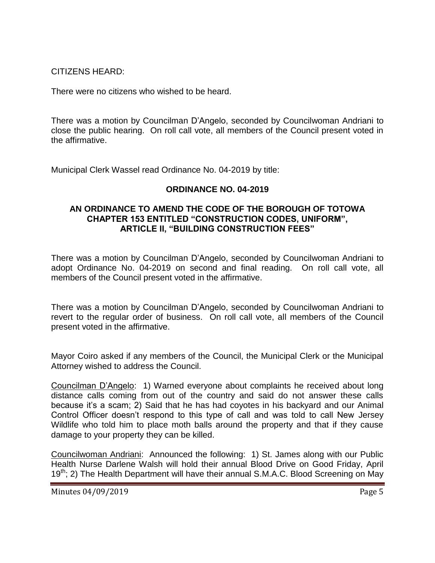CITIZENS HEARD:

There were no citizens who wished to be heard.

There was a motion by Councilman D'Angelo, seconded by Councilwoman Andriani to close the public hearing. On roll call vote, all members of the Council present voted in the affirmative.

Municipal Clerk Wassel read Ordinance No. 04-2019 by title:

# **ORDINANCE NO. 04-2019**

#### **AN ORDINANCE TO AMEND THE CODE OF THE BOROUGH OF TOTOWA CHAPTER 153 ENTITLED "CONSTRUCTION CODES, UNIFORM", ARTICLE II, "BUILDING CONSTRUCTION FEES"**

There was a motion by Councilman D'Angelo, seconded by Councilwoman Andriani to adopt Ordinance No. 04-2019 on second and final reading. On roll call vote, all members of the Council present voted in the affirmative.

There was a motion by Councilman D'Angelo, seconded by Councilwoman Andriani to revert to the regular order of business. On roll call vote, all members of the Council present voted in the affirmative.

Mayor Coiro asked if any members of the Council, the Municipal Clerk or the Municipal Attorney wished to address the Council.

Councilman D'Angelo: 1) Warned everyone about complaints he received about long distance calls coming from out of the country and said do not answer these calls because it's a scam; 2) Said that he has had coyotes in his backyard and our Animal Control Officer doesn't respond to this type of call and was told to call New Jersey Wildlife who told him to place moth balls around the property and that if they cause damage to your property they can be killed.

Councilwoman Andriani: Announced the following: 1) St. James along with our Public Health Nurse Darlene Walsh will hold their annual Blood Drive on Good Friday, April  $19<sup>th</sup>$ ; 2) The Health Department will have their annual S.M.A.C. Blood Screening on May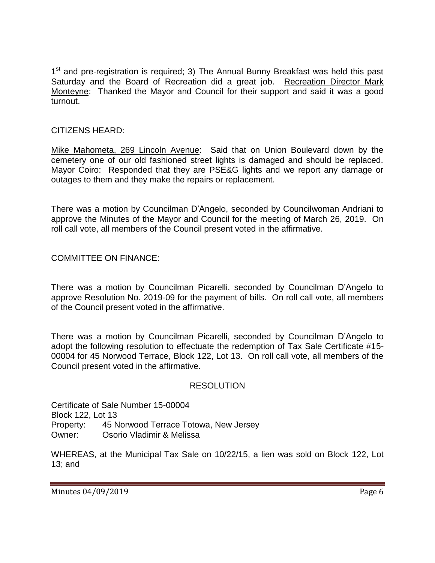1<sup>st</sup> and pre-registration is required; 3) The Annual Bunny Breakfast was held this past Saturday and the Board of Recreation did a great job. Recreation Director Mark Monteyne: Thanked the Mayor and Council for their support and said it was a good turnout.

# CITIZENS HEARD:

Mike Mahometa, 269 Lincoln Avenue: Said that on Union Boulevard down by the cemetery one of our old fashioned street lights is damaged and should be replaced. Mayor Coiro: Responded that they are PSE&G lights and we report any damage or outages to them and they make the repairs or replacement.

There was a motion by Councilman D'Angelo, seconded by Councilwoman Andriani to approve the Minutes of the Mayor and Council for the meeting of March 26, 2019. On roll call vote, all members of the Council present voted in the affirmative.

COMMITTEE ON FINANCE:

There was a motion by Councilman Picarelli, seconded by Councilman D'Angelo to approve Resolution No. 2019-09 for the payment of bills. On roll call vote, all members of the Council present voted in the affirmative.

There was a motion by Councilman Picarelli, seconded by Councilman D'Angelo to adopt the following resolution to effectuate the redemption of Tax Sale Certificate #15- 00004 for 45 Norwood Terrace, Block 122, Lot 13. On roll call vote, all members of the Council present voted in the affirmative.

# RESOLUTION

Certificate of Sale Number 15-00004 Block 122, Lot 13 Property: 45 Norwood Terrace Totowa, New Jersey Owner: Osorio Vladimir & Melissa

WHEREAS, at the Municipal Tax Sale on 10/22/15, a lien was sold on Block 122, Lot 13; and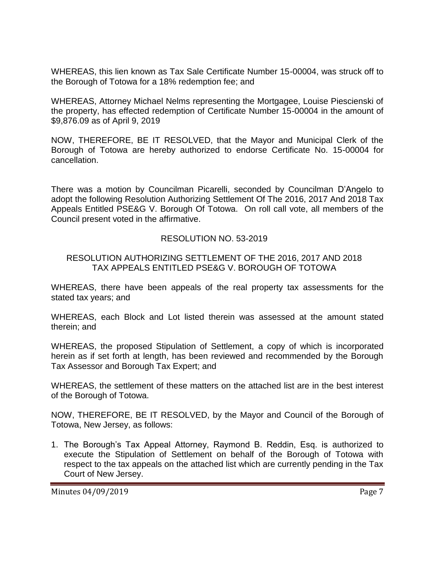WHEREAS, this lien known as Tax Sale Certificate Number 15-00004, was struck off to the Borough of Totowa for a 18% redemption fee; and

WHEREAS, Attorney Michael Nelms representing the Mortgagee, Louise Piescienski of the property, has effected redemption of Certificate Number 15-00004 in the amount of \$9,876.09 as of April 9, 2019

NOW, THEREFORE, BE IT RESOLVED, that the Mayor and Municipal Clerk of the Borough of Totowa are hereby authorized to endorse Certificate No. 15-00004 for cancellation.

There was a motion by Councilman Picarelli, seconded by Councilman D'Angelo to adopt the following Resolution Authorizing Settlement Of The 2016, 2017 And 2018 Tax Appeals Entitled PSE&G V. Borough Of Totowa. On roll call vote, all members of the Council present voted in the affirmative.

## RESOLUTION NO. 53-2019

## RESOLUTION AUTHORIZING SETTLEMENT OF THE 2016, 2017 AND 2018 TAX APPEALS ENTITLED PSE&G V. BOROUGH OF TOTOWA

WHEREAS, there have been appeals of the real property tax assessments for the stated tax years; and

WHEREAS, each Block and Lot listed therein was assessed at the amount stated therein; and

WHEREAS, the proposed Stipulation of Settlement, a copy of which is incorporated herein as if set forth at length, has been reviewed and recommended by the Borough Tax Assessor and Borough Tax Expert; and

WHEREAS, the settlement of these matters on the attached list are in the best interest of the Borough of Totowa.

NOW, THEREFORE, BE IT RESOLVED, by the Mayor and Council of the Borough of Totowa, New Jersey, as follows:

1. The Borough's Tax Appeal Attorney, Raymond B. Reddin, Esq. is authorized to execute the Stipulation of Settlement on behalf of the Borough of Totowa with respect to the tax appeals on the attached list which are currently pending in the Tax Court of New Jersey.

Minutes 04/09/2019 **Page 7**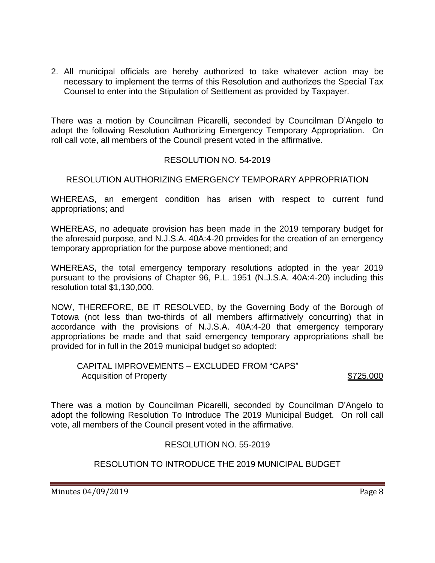2. All municipal officials are hereby authorized to take whatever action may be necessary to implement the terms of this Resolution and authorizes the Special Tax Counsel to enter into the Stipulation of Settlement as provided by Taxpayer.

There was a motion by Councilman Picarelli, seconded by Councilman D'Angelo to adopt the following Resolution Authorizing Emergency Temporary Appropriation. On roll call vote, all members of the Council present voted in the affirmative.

# RESOLUTION NO. 54-2019

# RESOLUTION AUTHORIZING EMERGENCY TEMPORARY APPROPRIATION

WHEREAS, an emergent condition has arisen with respect to current fund appropriations; and

WHEREAS, no adequate provision has been made in the 2019 temporary budget for the aforesaid purpose, and N.J.S.A. 40A:4-20 provides for the creation of an emergency temporary appropriation for the purpose above mentioned; and

WHEREAS, the total emergency temporary resolutions adopted in the year 2019 pursuant to the provisions of Chapter 96, P.L. 1951 (N.J.S.A. 40A:4-20) including this resolution total \$1,130,000.

NOW, THEREFORE, BE IT RESOLVED, by the Governing Body of the Borough of Totowa (not less than two-thirds of all members affirmatively concurring) that in accordance with the provisions of N.J.S.A. 40A:4-20 that emergency temporary appropriations be made and that said emergency temporary appropriations shall be provided for in full in the 2019 municipal budget so adopted:

CAPITAL IMPROVEMENTS – EXCLUDED FROM "CAPS" Acquisition of Property **\$725,000** 

There was a motion by Councilman Picarelli, seconded by Councilman D'Angelo to adopt the following Resolution To Introduce The 2019 Municipal Budget. On roll call vote, all members of the Council present voted in the affirmative.

# RESOLUTION NO. 55-2019

# RESOLUTION TO INTRODUCE THE 2019 MUNICIPAL BUDGET

Minutes 04/09/2019 **Page 8**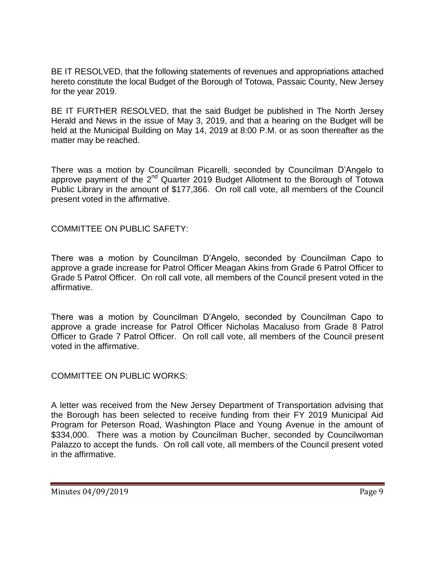BE IT RESOLVED, that the following statements of revenues and appropriations attached hereto constitute the local Budget of the Borough of Totowa, Passaic County, New Jersey for the year 2019.

BE IT FURTHER RESOLVED, that the said Budget be published in The North Jersey Herald and News in the issue of May 3, 2019, and that a hearing on the Budget will be held at the Municipal Building on May 14, 2019 at 8:00 P.M. or as soon thereafter as the matter may be reached.

There was a motion by Councilman Picarelli, seconded by Councilman D'Angelo to approve payment of the  $2^{nd}$  Quarter 2019 Budget Allotment to the Borough of Totowa Public Library in the amount of \$177,366. On roll call vote, all members of the Council present voted in the affirmative.

COMMITTEE ON PUBLIC SAFETY:

There was a motion by Councilman D'Angelo, seconded by Councilman Capo to approve a grade increase for Patrol Officer Meagan Akins from Grade 6 Patrol Officer to Grade 5 Patrol Officer. On roll call vote, all members of the Council present voted in the affirmative.

There was a motion by Councilman D'Angelo, seconded by Councilman Capo to approve a grade increase for Patrol Officer Nicholas Macaluso from Grade 8 Patrol Officer to Grade 7 Patrol Officer. On roll call vote, all members of the Council present voted in the affirmative.

COMMITTEE ON PUBLIC WORKS:

A letter was received from the New Jersey Department of Transportation advising that the Borough has been selected to receive funding from their FY 2019 Municipal Aid Program for Peterson Road, Washington Place and Young Avenue in the amount of \$334,000. There was a motion by Councilman Bucher, seconded by Councilwoman Palazzo to accept the funds. On roll call vote, all members of the Council present voted in the affirmative.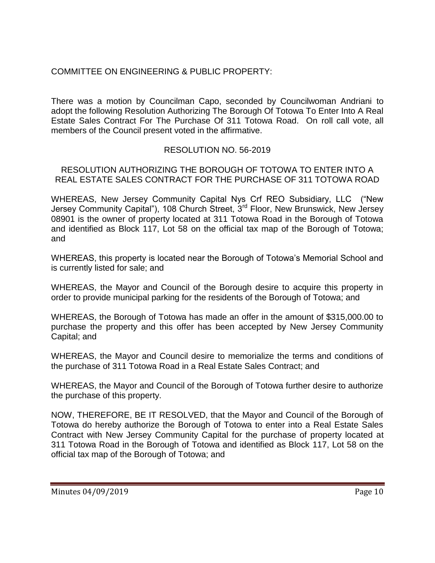# COMMITTEE ON ENGINEERING & PUBLIC PROPERTY:

There was a motion by Councilman Capo, seconded by Councilwoman Andriani to adopt the following Resolution Authorizing The Borough Of Totowa To Enter Into A Real Estate Sales Contract For The Purchase Of 311 Totowa Road. On roll call vote, all members of the Council present voted in the affirmative.

# RESOLUTION NO. 56-2019

## RESOLUTION AUTHORIZING THE BOROUGH OF TOTOWA TO ENTER INTO A REAL ESTATE SALES CONTRACT FOR THE PURCHASE OF 311 TOTOWA ROAD

WHEREAS, New Jersey Community Capital Nys Crf REO Subsidiary, LLC ("New Jersey Community Capital"), 108 Church Street, 3<sup>rd</sup> Floor, New Brunswick, New Jersey 08901 is the owner of property located at 311 Totowa Road in the Borough of Totowa and identified as Block 117, Lot 58 on the official tax map of the Borough of Totowa; and

WHEREAS, this property is located near the Borough of Totowa's Memorial School and is currently listed for sale; and

WHEREAS, the Mayor and Council of the Borough desire to acquire this property in order to provide municipal parking for the residents of the Borough of Totowa; and

WHEREAS, the Borough of Totowa has made an offer in the amount of \$315,000.00 to purchase the property and this offer has been accepted by New Jersey Community Capital; and

WHEREAS, the Mayor and Council desire to memorialize the terms and conditions of the purchase of 311 Totowa Road in a Real Estate Sales Contract; and

WHEREAS, the Mayor and Council of the Borough of Totowa further desire to authorize the purchase of this property.

NOW, THEREFORE, BE IT RESOLVED, that the Mayor and Council of the Borough of Totowa do hereby authorize the Borough of Totowa to enter into a Real Estate Sales Contract with New Jersey Community Capital for the purchase of property located at 311 Totowa Road in the Borough of Totowa and identified as Block 117, Lot 58 on the official tax map of the Borough of Totowa; and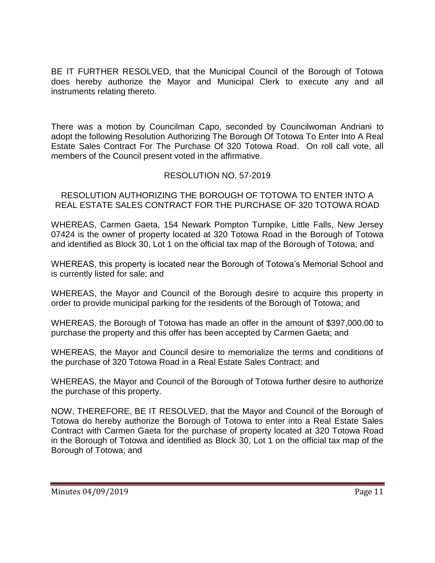BE IT FURTHER RESOLVED, that the Municipal Council of the Borough of Totowa does hereby authorize the Mayor and Municipal Clerk to execute any and all instruments relating thereto.

There was a motion by Councilman Capo, seconded by Councilwoman Andriani to adopt the following Resolution Authorizing The Borough Of Totowa To Enter Into A Real Estate Sales Contract For The Purchase Of 320 Totowa Road. On roll call vote, all members of the Council present voted in the affirmative.

# RESOLUTION NO. 57-2019

RESOLUTION AUTHORIZING THE BOROUGH OF TOTOWA TO ENTER INTO A REAL ESTATE SALES CONTRACT FOR THE PURCHASE OF 320 TOTOWA ROAD

WHEREAS, Carmen Gaeta, 154 Newark Pompton Turnpike, Little Falls, New Jersey 07424 is the owner of property located at 320 Totowa Road in the Borough of Totowa and identified as Block 30, Lot 1 on the official tax map of the Borough of Totowa; and

WHEREAS, this property is located near the Borough of Totowa's Memorial School and is currently listed for sale; and

WHEREAS, the Mayor and Council of the Borough desire to acquire this property in order to provide municipal parking for the residents of the Borough of Totowa; and

WHEREAS, the Borough of Totowa has made an offer in the amount of \$397,000.00 to purchase the property and this offer has been accepted by Carmen Gaeta; and

WHEREAS, the Mayor and Council desire to memorialize the terms and conditions of the purchase of 320 Totowa Road in a Real Estate Sales Contract; and

WHEREAS, the Mayor and Council of the Borough of Totowa further desire to authorize the purchase of this property.

NOW, THEREFORE, BE IT RESOLVED, that the Mayor and Council of the Borough of Totowa do hereby authorize the Borough of Totowa to enter into a Real Estate Sales Contract with Carmen Gaeta for the purchase of property located at 320 Totowa Road in the Borough of Totowa and identified as Block 30, Lot 1 on the official tax map of the Borough of Totowa; and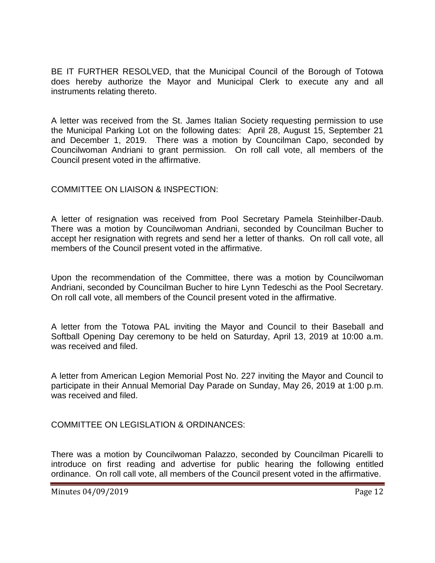BE IT FURTHER RESOLVED, that the Municipal Council of the Borough of Totowa does hereby authorize the Mayor and Municipal Clerk to execute any and all instruments relating thereto.

A letter was received from the St. James Italian Society requesting permission to use the Municipal Parking Lot on the following dates: April 28, August 15, September 21 and December 1, 2019. There was a motion by Councilman Capo, seconded by Councilwoman Andriani to grant permission. On roll call vote, all members of the Council present voted in the affirmative.

## COMMITTEE ON LIAISON & INSPECTION:

A letter of resignation was received from Pool Secretary Pamela Steinhilber-Daub. There was a motion by Councilwoman Andriani, seconded by Councilman Bucher to accept her resignation with regrets and send her a letter of thanks. On roll call vote, all members of the Council present voted in the affirmative.

Upon the recommendation of the Committee, there was a motion by Councilwoman Andriani, seconded by Councilman Bucher to hire Lynn Tedeschi as the Pool Secretary. On roll call vote, all members of the Council present voted in the affirmative.

A letter from the Totowa PAL inviting the Mayor and Council to their Baseball and Softball Opening Day ceremony to be held on Saturday, April 13, 2019 at 10:00 a.m. was received and filed.

A letter from American Legion Memorial Post No. 227 inviting the Mayor and Council to participate in their Annual Memorial Day Parade on Sunday, May 26, 2019 at 1:00 p.m. was received and filed.

COMMITTEE ON LEGISLATION & ORDINANCES:

There was a motion by Councilwoman Palazzo, seconded by Councilman Picarelli to introduce on first reading and advertise for public hearing the following entitled ordinance. On roll call vote, all members of the Council present voted in the affirmative.